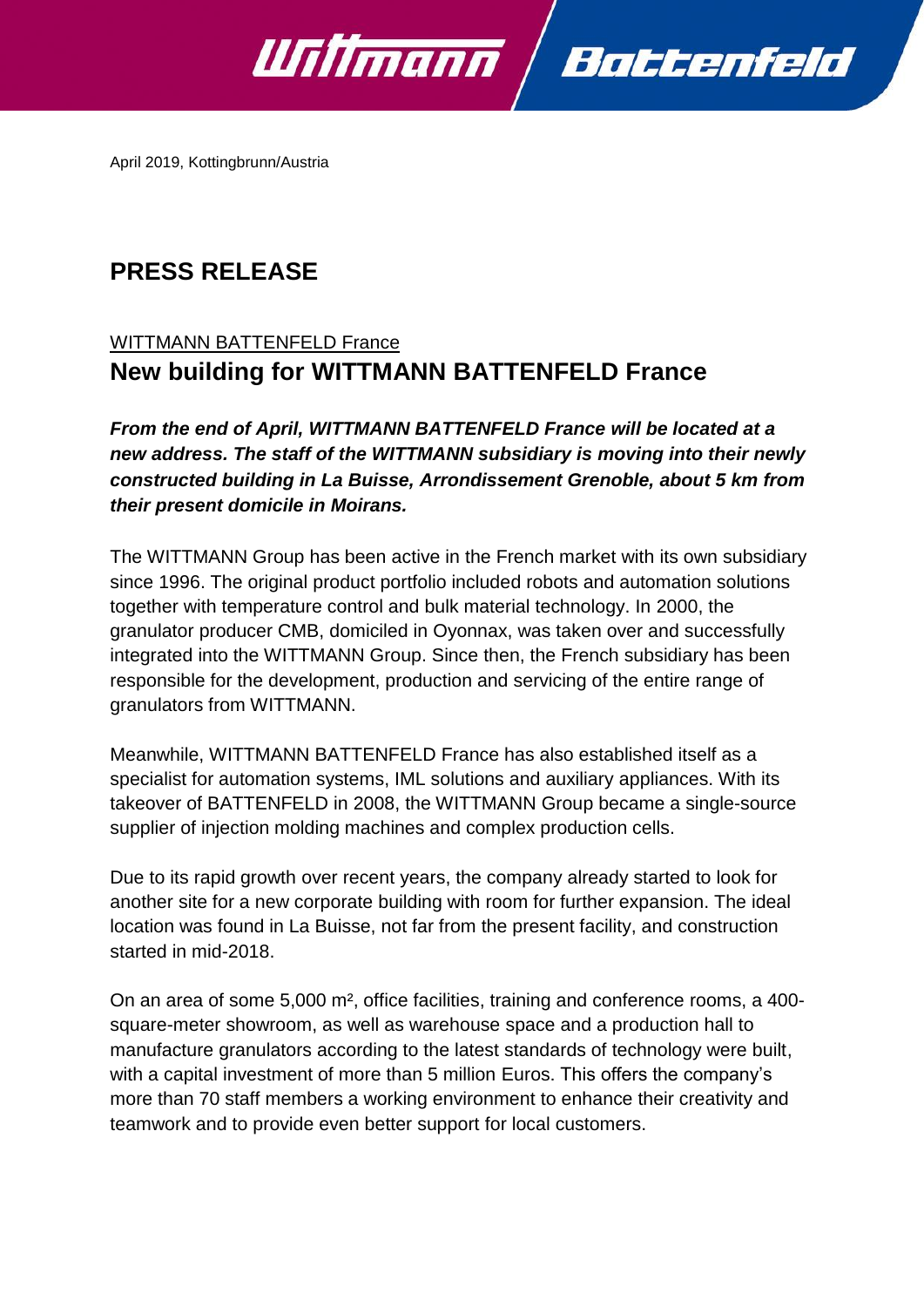

April 2019, Kottingbrunn/Austria

# **PRESS RELEASE**

## WITTMANN BATTENFELD France **New building for WITTMANN BATTENFELD France**

*From the end of April, WITTMANN BATTENFELD France will be located at a new address. The staff of the WITTMANN subsidiary is moving into their newly constructed building in La Buisse, Arrondissement Grenoble, about 5 km from their present domicile in Moirans.*

The WITTMANN Group has been active in the French market with its own subsidiary since 1996. The original product portfolio included robots and automation solutions together with temperature control and bulk material technology. In 2000, the granulator producer CMB, domiciled in Oyonnax, was taken over and successfully integrated into the WITTMANN Group. Since then, the French subsidiary has been responsible for the development, production and servicing of the entire range of granulators from WITTMANN.

Meanwhile, WITTMANN BATTENFELD France has also established itself as a specialist for automation systems, IML solutions and auxiliary appliances. With its takeover of BATTENFELD in 2008, the WITTMANN Group became a single-source supplier of injection molding machines and complex production cells.

Due to its rapid growth over recent years, the company already started to look for another site for a new corporate building with room for further expansion. The ideal location was found in La Buisse, not far from the present facility, and construction started in mid-2018.

On an area of some 5,000 m², office facilities, training and conference rooms, a 400 square-meter showroom, as well as warehouse space and a production hall to manufacture granulators according to the latest standards of technology were built, with a capital investment of more than 5 million Euros. This offers the company's more than 70 staff members a working environment to enhance their creativity and teamwork and to provide even better support for local customers.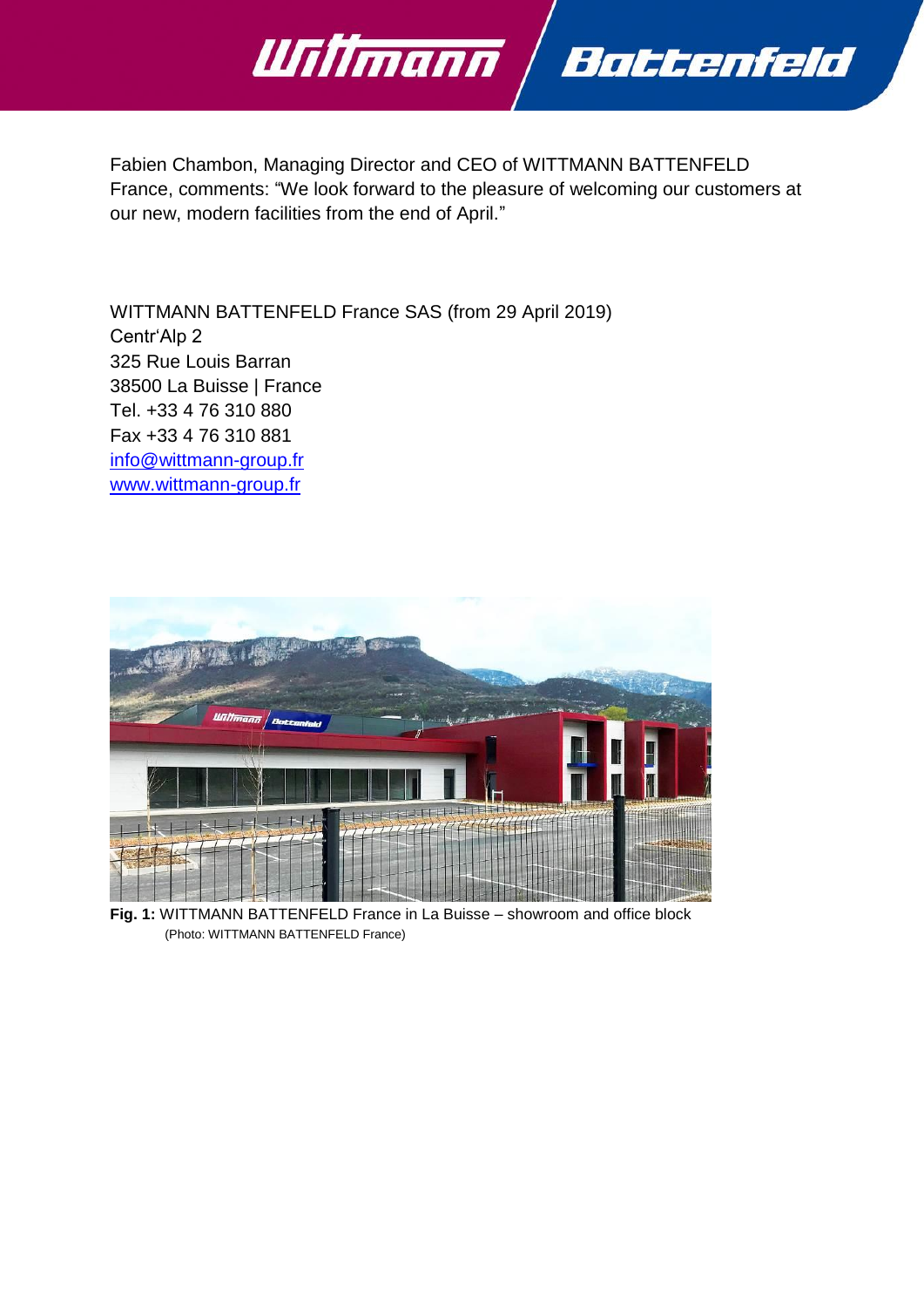

Fabien Chambon, Managing Director and CEO of WITTMANN BATTENFELD France, comments: "We look forward to the pleasure of welcoming our customers at our new, modern facilities from the end of April."

WITTMANN BATTENFELD France SAS (from 29 April 2019) Centr'Alp 2 325 Rue Louis Barran 38500 La Buisse | France Tel. +33 4 76 310 880 Fax +33 4 76 310 881 [info@wittmann-group.fr](mailto:info@wittmann-group.fr) [www.wittmann-group.fr](http://www.wittmann-group.fr/)



**Fig. 1:** WITTMANN BATTENFELD France in La Buisse – showroom and office block (Photo: WITTMANN BATTENFELD France)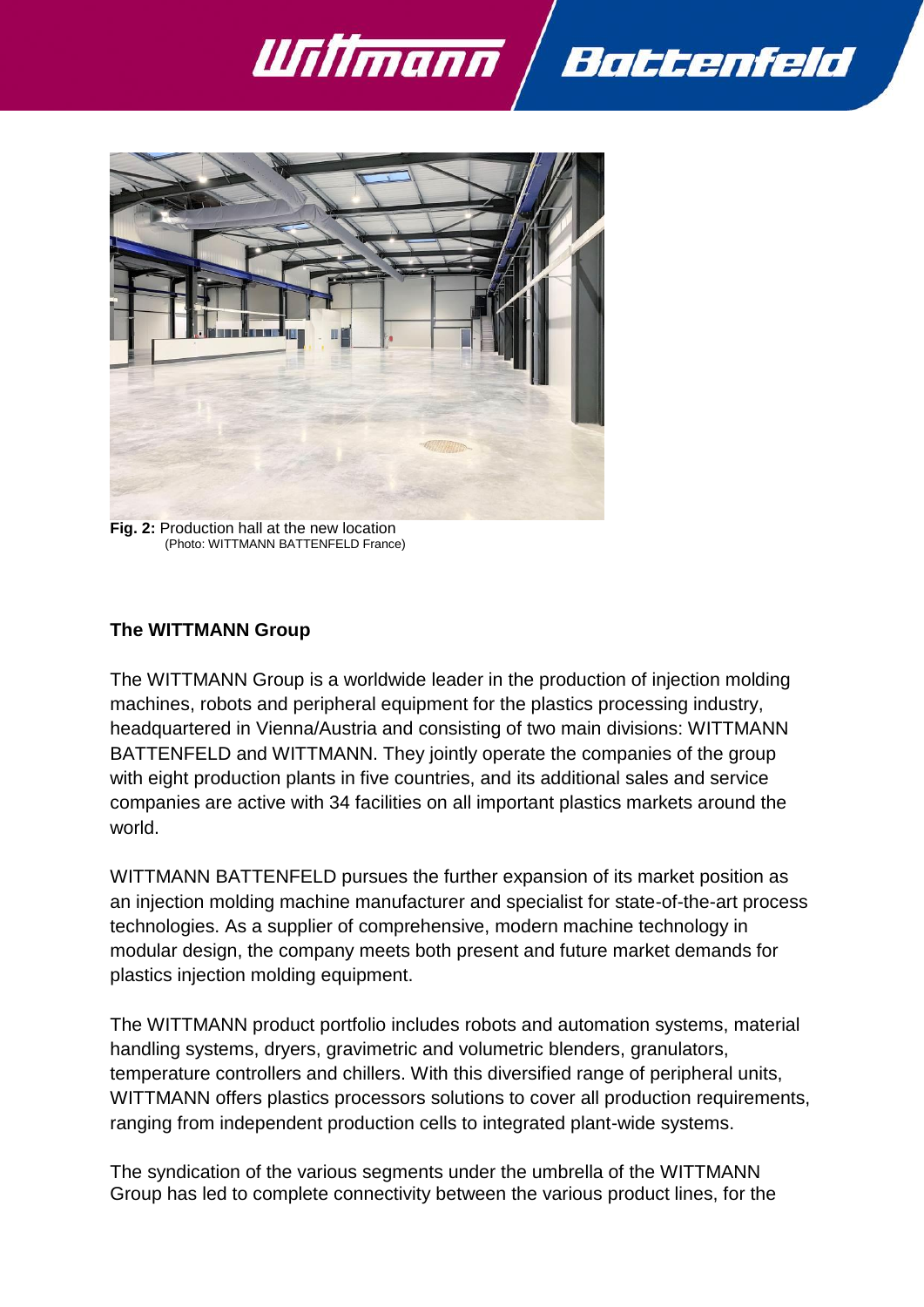



**Fig. 2:** Production hall at the new location (Photo: WITTMANN BATTENFELD France)

## **The WITTMANN Group**

The WITTMANN Group is a worldwide leader in the production of injection molding machines, robots and peripheral equipment for the plastics processing industry, headquartered in Vienna/Austria and consisting of two main divisions: WITTMANN BATTENFELD and WITTMANN. They jointly operate the companies of the group with eight production plants in five countries, and its additional sales and service companies are active with 34 facilities on all important plastics markets around the world.

WITTMANN BATTENFELD pursues the further expansion of its market position as an injection molding machine manufacturer and specialist for state-of-the-art process technologies. As a supplier of comprehensive, modern machine technology in modular design, the company meets both present and future market demands for plastics injection molding equipment.

The WITTMANN product portfolio includes robots and automation systems, material handling systems, dryers, gravimetric and volumetric blenders, granulators, temperature controllers and chillers. With this diversified range of peripheral units, WITTMANN offers plastics processors solutions to cover all production requirements, ranging from independent production cells to integrated plant-wide systems.

The syndication of the various segments under the umbrella of the WITTMANN Group has led to complete connectivity between the various product lines, for the